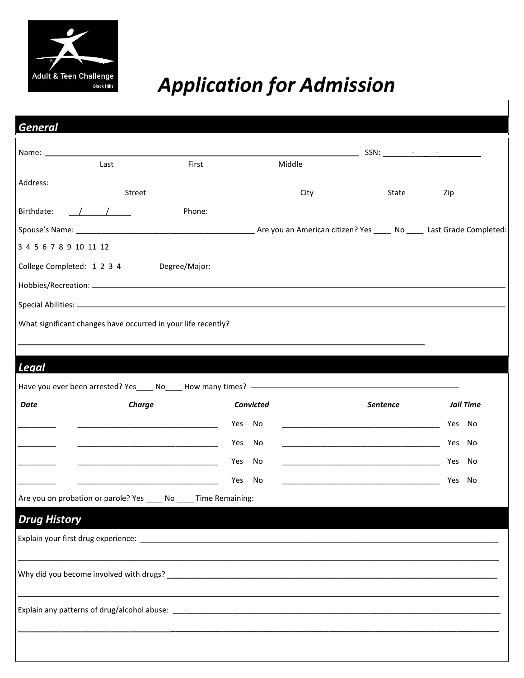

# *Application for Admission*

| <b>General</b>                                                     |                      |                                                                                                                        |        |                                                                                                                                                                                                                               |          |            |                        |
|--------------------------------------------------------------------|----------------------|------------------------------------------------------------------------------------------------------------------------|--------|-------------------------------------------------------------------------------------------------------------------------------------------------------------------------------------------------------------------------------|----------|------------|------------------------|
|                                                                    |                      |                                                                                                                        |        |                                                                                                                                                                                                                               |          |            |                        |
|                                                                    | Last                 | First                                                                                                                  |        | Middle                                                                                                                                                                                                                        |          |            |                        |
| Address:                                                           | Street               |                                                                                                                        |        | City                                                                                                                                                                                                                          | State    | Zip        |                        |
| Birthdate:                                                         | $\frac{1}{\sqrt{2}}$ | Phone:                                                                                                                 |        |                                                                                                                                                                                                                               |          |            |                        |
|                                                                    |                      |                                                                                                                        |        |                                                                                                                                                                                                                               |          |            |                        |
| 3 4 5 6 7 8 9 10 11 12                                             |                      |                                                                                                                        |        |                                                                                                                                                                                                                               |          |            |                        |
| College Completed: 1 2 3 4 Degree/Major:                           |                      |                                                                                                                        |        |                                                                                                                                                                                                                               |          |            |                        |
|                                                                    |                      |                                                                                                                        |        |                                                                                                                                                                                                                               |          |            |                        |
|                                                                    |                      |                                                                                                                        |        |                                                                                                                                                                                                                               |          |            |                        |
| What significant changes have occurred in your life recently?      |                      |                                                                                                                        |        |                                                                                                                                                                                                                               |          |            |                        |
|                                                                    |                      |                                                                                                                        |        |                                                                                                                                                                                                                               |          |            |                        |
|                                                                    |                      |                                                                                                                        |        |                                                                                                                                                                                                                               |          |            |                        |
|                                                                    |                      |                                                                                                                        |        |                                                                                                                                                                                                                               |          |            |                        |
|                                                                    |                      |                                                                                                                        |        |                                                                                                                                                                                                                               |          |            |                        |
|                                                                    |                      |                                                                                                                        |        |                                                                                                                                                                                                                               |          |            |                        |
| Date                                                               | Charge               |                                                                                                                        | Yes    | Convicted                                                                                                                                                                                                                     | Sentence |            | <b>Jail Time</b><br>No |
| Legal                                                              |                      | <u> 1989 - Johann John Harry Harry Harry Harry Harry Harry Harry Harry Harry Harry Harry Harry Harry Harry Harry H</u> | Yes    | No<br><u> 1980 - Johann John Stone, mars eta biztanleria (h. 1980).</u><br>No                                                                                                                                                 |          | Yes<br>Yes | No                     |
|                                                                    |                      |                                                                                                                        | Yes No | the control of the control of the control of the control of the control of the control of the control of the control of the control of the control of the control of the control of the control of the control of the control |          | Yes        | No                     |
|                                                                    |                      |                                                                                                                        | Yes    | No                                                                                                                                                                                                                            |          | Yes        | No                     |
| Are you on probation or parole? Yes _____ No _____ Time Remaining: |                      |                                                                                                                        |        |                                                                                                                                                                                                                               |          |            |                        |
|                                                                    |                      |                                                                                                                        |        |                                                                                                                                                                                                                               |          |            |                        |
| <b>Drug History</b>                                                |                      |                                                                                                                        |        |                                                                                                                                                                                                                               |          |            |                        |
|                                                                    |                      |                                                                                                                        |        |                                                                                                                                                                                                                               |          |            |                        |
|                                                                    |                      |                                                                                                                        |        |                                                                                                                                                                                                                               |          |            |                        |
|                                                                    |                      |                                                                                                                        |        |                                                                                                                                                                                                                               |          |            |                        |
|                                                                    |                      |                                                                                                                        |        |                                                                                                                                                                                                                               |          |            |                        |
|                                                                    |                      |                                                                                                                        |        |                                                                                                                                                                                                                               |          |            |                        |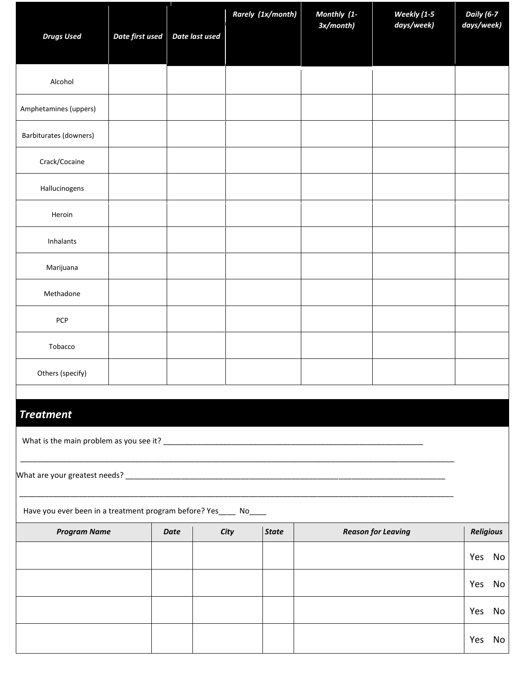|                                                                   |                 |                | Rarely (1x/month) | Monthly (1-<br>3x/month) | Weekly (1-5<br>days/week) | Daily (6-7<br>days/week) |  |  |  |
|-------------------------------------------------------------------|-----------------|----------------|-------------------|--------------------------|---------------------------|--------------------------|--|--|--|
| <b>Drugs Used</b>                                                 | Date first used | Date last used |                   |                          |                           |                          |  |  |  |
| Alcohol                                                           |                 |                |                   |                          |                           |                          |  |  |  |
| Amphetamines (uppers)                                             |                 |                |                   |                          |                           |                          |  |  |  |
| Barbiturates (downers)                                            |                 |                |                   |                          |                           |                          |  |  |  |
| Crack/Cocaine                                                     |                 |                |                   |                          |                           |                          |  |  |  |
| Hallucinogens                                                     |                 |                |                   |                          |                           |                          |  |  |  |
| Heroin                                                            |                 |                |                   |                          |                           |                          |  |  |  |
| Inhalants                                                         |                 |                |                   |                          |                           |                          |  |  |  |
| Marijuana                                                         |                 |                |                   |                          |                           |                          |  |  |  |
| Methadone                                                         |                 |                |                   |                          |                           |                          |  |  |  |
| PCP                                                               |                 |                |                   |                          |                           |                          |  |  |  |
| Tobacco                                                           |                 |                |                   |                          |                           |                          |  |  |  |
| Others (specify)                                                  |                 |                |                   |                          |                           |                          |  |  |  |
|                                                                   |                 |                |                   |                          |                           |                          |  |  |  |
| <b>Treatment</b>                                                  |                 |                |                   |                          |                           |                          |  |  |  |
|                                                                   |                 |                |                   |                          |                           |                          |  |  |  |
|                                                                   |                 |                |                   |                          |                           |                          |  |  |  |
| Have you ever been in a treatment program before? Yes_____ No____ |                 |                |                   |                          |                           |                          |  |  |  |

| <b>Program Name</b> | Date | City | <b>State</b> | <b>Reason for Leaving</b> | <b>Religious</b> |    |
|---------------------|------|------|--------------|---------------------------|------------------|----|
|                     |      |      |              |                           | Yes              | No |
|                     |      |      |              |                           | Yes              | No |
|                     |      |      |              |                           | Yes              | No |
|                     |      |      |              |                           | Yes              | No |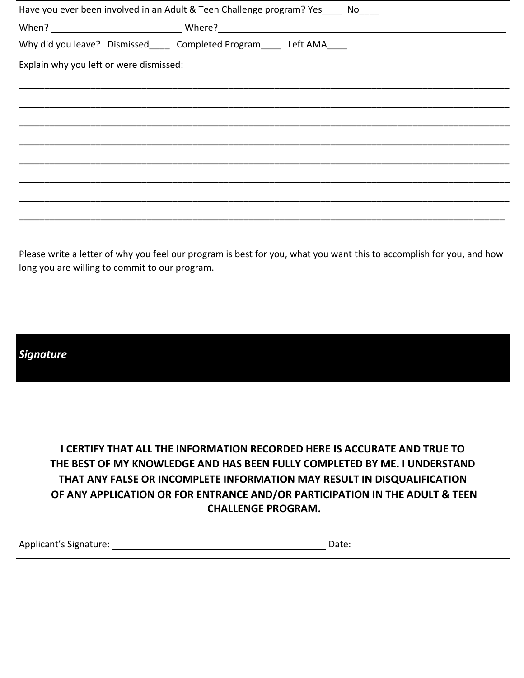|                                                | Have you ever been involved in an Adult & Teen Challenge program? Yes____ No____ |       |                                                                                                                                                                                                                                                                                                                        |
|------------------------------------------------|----------------------------------------------------------------------------------|-------|------------------------------------------------------------------------------------------------------------------------------------------------------------------------------------------------------------------------------------------------------------------------------------------------------------------------|
|                                                |                                                                                  |       |                                                                                                                                                                                                                                                                                                                        |
|                                                | Why did you leave? Dismissed_____ Completed Program_____ Left AMA____            |       |                                                                                                                                                                                                                                                                                                                        |
| Explain why you left or were dismissed:        |                                                                                  |       |                                                                                                                                                                                                                                                                                                                        |
|                                                |                                                                                  |       |                                                                                                                                                                                                                                                                                                                        |
|                                                |                                                                                  |       |                                                                                                                                                                                                                                                                                                                        |
|                                                |                                                                                  |       |                                                                                                                                                                                                                                                                                                                        |
|                                                |                                                                                  |       |                                                                                                                                                                                                                                                                                                                        |
|                                                |                                                                                  |       |                                                                                                                                                                                                                                                                                                                        |
|                                                |                                                                                  |       |                                                                                                                                                                                                                                                                                                                        |
|                                                |                                                                                  |       |                                                                                                                                                                                                                                                                                                                        |
| long you are willing to commit to our program. |                                                                                  |       | Please write a letter of why you feel our program is best for you, what you want this to accomplish for you, and how                                                                                                                                                                                                   |
| <b>Signature</b>                               |                                                                                  |       |                                                                                                                                                                                                                                                                                                                        |
|                                                |                                                                                  |       |                                                                                                                                                                                                                                                                                                                        |
|                                                | <b>CHALLENGE PROGRAM.</b>                                                        |       | <b>I CERTIFY THAT ALL THE INFORMATION RECORDED HERE IS ACCURATE AND TRUE TO</b><br>THE BEST OF MY KNOWLEDGE AND HAS BEEN FULLY COMPLETED BY ME. I UNDERSTAND<br>THAT ANY FALSE OR INCOMPLETE INFORMATION MAY RESULT IN DISQUALIFICATION<br>OF ANY APPLICATION OR FOR ENTRANCE AND/OR PARTICIPATION IN THE ADULT & TEEN |
|                                                |                                                                                  | Date: |                                                                                                                                                                                                                                                                                                                        |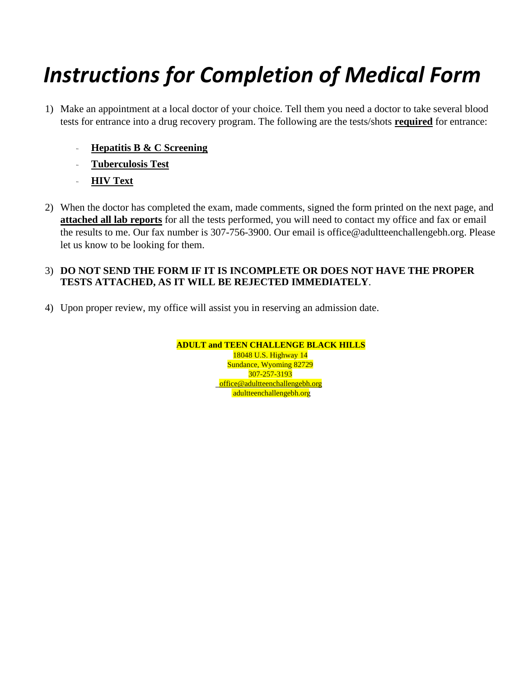# *Instructions for Completion of Medical Form*

- 1) Make an appointment at a local doctor of your choice. Tell them you need a doctor to take several blood tests for entrance into a drug recovery program. The following are the tests/shots **required** for entrance:
	- **Hepatitis B & C Screening**
	- **Tuberculosis Test**
	- **HIV Text**
- 2) When the doctor has completed the exam, made comments, signed the form printed on the next page, and **attached all lab reports** for all the tests performed, you will need to contact my office and fax or email the results to me. Our fax number is 307-756-3900. Our email is office@adultteenchallengebh.org. Please let us know to be looking for them.

## 3) **DO NOT SEND THE FORM IF IT IS INCOMPLETE OR DOES NOT HAVE THE PROPER TESTS ATTACHED, AS IT WILL BE REJECTED IMMEDIATELY**.

4) Upon proper review, my office will assist you in reserving an admission date.

**ADULT and TEEN CHALLENGE BLACK HILLS**  18048 U.S. Highway 14 Sundance, Wyoming 82729 307-257-3193

office@adultteenchallengebh.org adultteenchallengebh.org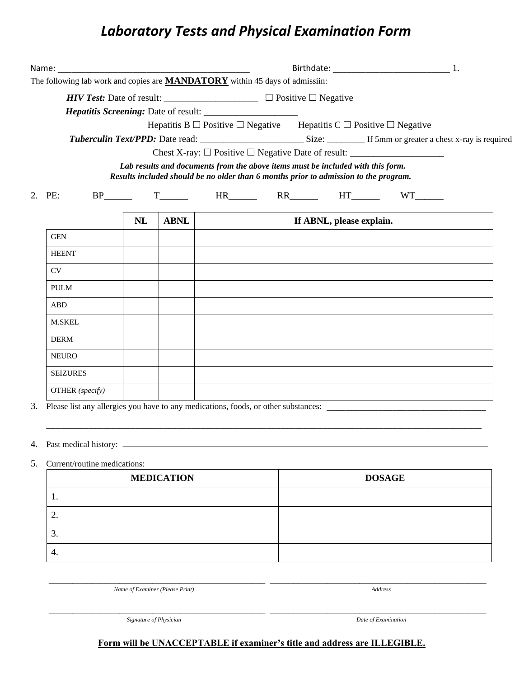# *Laboratory Tests and Physical Examination Form*

|    | The following lab work and copies are <b>MANDATORY</b> within 45 days of admissiin:   |    |                   |                                                                                                                         |                          |               |  |
|----|---------------------------------------------------------------------------------------|----|-------------------|-------------------------------------------------------------------------------------------------------------------------|--------------------------|---------------|--|
|    |                                                                                       |    |                   |                                                                                                                         |                          |               |  |
|    |                                                                                       |    |                   | <i>Hepatitis Screening: Date of result:</i>                                                                             |                          |               |  |
|    |                                                                                       |    |                   | Hepatitis B $\Box$ Positive $\Box$ Negative Hepatitis C $\Box$ Positive $\Box$ Negative                                 |                          |               |  |
|    |                                                                                       |    |                   | Chest X-ray: $\Box$ Positive $\Box$ Negative Date of result: $\_\_\_\_\_\_\_\_\_\_\_\_\_\_\_\_\_\_\_\_\_\_\_\_\_\_\_\_$ |                          |               |  |
|    |                                                                                       |    |                   | Lab results and documents from the above items must be included with this form.                                         |                          |               |  |
|    |                                                                                       |    |                   | Results included should be no older than 6 months prior to admission to the program.                                    |                          |               |  |
|    | 2. PE:                                                                                |    | $BP$ $T$          |                                                                                                                         |                          |               |  |
|    |                                                                                       | NL | <b>ABNL</b>       |                                                                                                                         | If ABNL, please explain. |               |  |
|    | <b>GEN</b>                                                                            |    |                   |                                                                                                                         |                          |               |  |
|    | <b>HEENT</b>                                                                          |    |                   |                                                                                                                         |                          |               |  |
|    | CV                                                                                    |    |                   |                                                                                                                         |                          |               |  |
|    | <b>PULM</b>                                                                           |    |                   |                                                                                                                         |                          |               |  |
|    | ABD                                                                                   |    |                   |                                                                                                                         |                          |               |  |
|    | <b>M.SKEL</b>                                                                         |    |                   |                                                                                                                         |                          |               |  |
|    | <b>DERM</b>                                                                           |    |                   |                                                                                                                         |                          |               |  |
|    | <b>NEURO</b>                                                                          |    |                   |                                                                                                                         |                          |               |  |
|    | <b>SEIZURES</b>                                                                       |    |                   |                                                                                                                         |                          |               |  |
|    | OTHER (specify)                                                                       |    |                   |                                                                                                                         |                          |               |  |
|    | 3. Please list any allergies you have to any medications, foods, or other substances: |    |                   |                                                                                                                         |                          |               |  |
|    |                                                                                       |    |                   |                                                                                                                         |                          |               |  |
|    |                                                                                       |    |                   |                                                                                                                         |                          |               |  |
| 5. | Current/routine medications:                                                          |    |                   |                                                                                                                         |                          |               |  |
|    |                                                                                       |    | <b>MEDICATION</b> |                                                                                                                         |                          | <b>DOSAGE</b> |  |
|    | 1.                                                                                    |    |                   |                                                                                                                         |                          |               |  |
|    | 2.                                                                                    |    |                   |                                                                                                                         |                          |               |  |
|    | 3.                                                                                    |    |                   |                                                                                                                         |                          |               |  |
|    | 4.                                                                                    |    |                   |                                                                                                                         |                          |               |  |
|    |                                                                                       |    |                   |                                                                                                                         |                          |               |  |
|    |                                                                                       |    |                   |                                                                                                                         |                          |               |  |

*Name of Examiner (Please Print) Address* 

*Signature of Physician Date of Examination* 

### **Form will be UNACCEPTABLE if examiner's title and address are ILLEGIBLE.**

\_\_\_\_\_\_\_\_\_\_\_\_\_\_\_\_\_\_\_\_\_\_\_\_\_\_\_\_\_\_\_\_\_\_\_\_\_\_\_\_\_\_\_\_\_\_ \_\_\_\_\_\_\_\_\_\_\_\_\_\_\_\_\_\_\_\_\_\_\_\_\_\_\_\_\_\_\_\_\_\_\_\_\_\_\_\_\_\_\_\_\_\_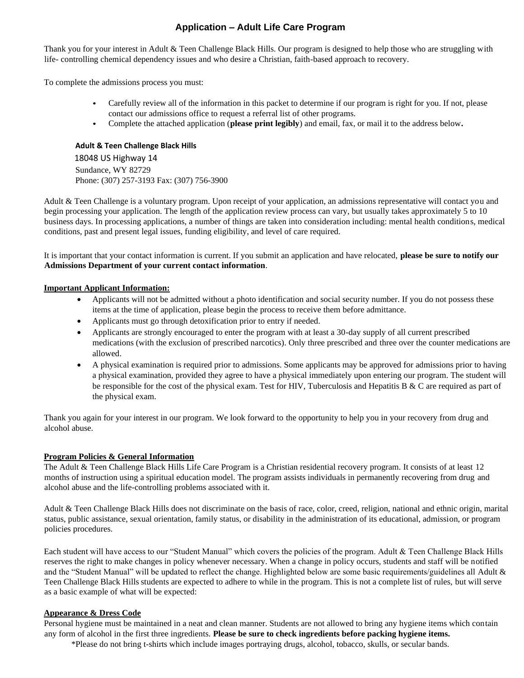### **Application – Adult Life Care Program**

Thank you for your interest in Adult & Teen Challenge Black Hills. Our program is designed to help those who are struggling with life- controlling chemical dependency issues and who desire a Christian, faith-based approach to recovery.

To complete the admissions process you must:

- Carefully review all of the information in this packet to determine if our program is right for you. If not, please contact our admissions office to request a referral list of other programs.
- Complete the attached application (**please print legibly**) and email, fax, or mail it to the address below**.**   $\bullet$

#### **Adult & Teen Challenge Black Hills**

 18048 US Highway 14 Sundance, WY 82729 Phone: (307) 257-3193 Fax: (307) 756-3900

Adult & Teen Challenge is a voluntary program. Upon receipt of your application, an admissions representative will contact you and begin processing your application. The length of the application review process can vary, but usually takes approximately 5 to 10 business days. In processing applications, a number of things are taken into consideration including: mental health conditions, medical conditions, past and present legal issues, funding eligibility, and level of care required.

It is important that your contact information is current. If you submit an application and have relocated, **please be sure to notify our Admissions Department of your current contact information**.

#### **Important Applicant Information:**

- Applicants will not be admitted without a photo identification and social security number. If you do not possess these items at the time of application, please begin the process to receive them before admittance.
- Applicants must go through detoxification prior to entry if needed.
- Applicants are strongly encouraged to enter the program with at least a 30-day supply of all current prescribed medications (with the exclusion of prescribed narcotics). Only three prescribed and three over the counter medications are allowed.
- A physical examination is required prior to admissions. Some applicants may be approved for admissions prior to having a physical examination, provided they agree to have a physical immediately upon entering our program. The student will be responsible for the cost of the physical exam. Test for HIV, Tuberculosis and Hepatitis B  $\&$  C are required as part of the physical exam.

Thank you again for your interest in our program. We look forward to the opportunity to help you in your recovery from drug and alcohol abuse.

#### **Program Policies & General Information**

The Adult & Teen Challenge Black Hills Life Care Program is a Christian residential recovery program. It consists of at least 12 months of instruction using a spiritual education model. The program assists individuals in permanently recovering from drug and alcohol abuse and the life-controlling problems associated with it.

Adult & Teen Challenge Black Hills does not discriminate on the basis of race, color, creed, religion, national and ethnic origin, marital status, public assistance, sexual orientation, family status, or disability in the administration of its educational, admission, or program policies procedures.

Each student will have access to our "Student Manual" which covers the policies of the program. Adult & Teen Challenge Black Hills reserves the right to make changes in policy whenever necessary. When a change in policy occurs, students and staff will be notified and the "Student Manual" will be updated to reflect the change. Highlighted below are some basic requirements/guidelines all Adult & Teen Challenge Black Hills students are expected to adhere to while in the program. This is not a complete list of rules, but will serve as a basic example of what will be expected:

#### **Appearance & Dress Code**

Personal hygiene must be maintained in a neat and clean manner. Students are not allowed to bring any hygiene items which contain any form of alcohol in the first three ingredients. **Please be sure to check ingredients before packing hygiene items.** 

\*Please do not bring t-shirts which include images portraying drugs, alcohol, tobacco, skulls, or secular bands.